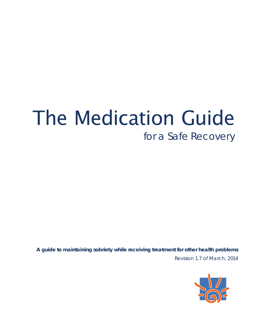# The Medication Guide *for a Safe Recovery*

Revision 1.7 of March, 2014 **A guide to maintaining sobriety while receiving treatment for other health problems**

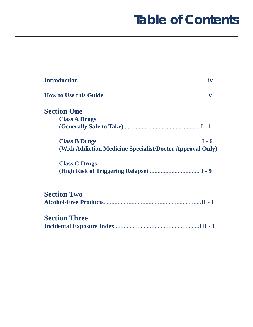### **Table of Contents**

| <b>Section One</b>                                        |
|-----------------------------------------------------------|
| <b>Class A Drugs</b>                                      |
|                                                           |
|                                                           |
| (With Addiction Medicine Specialist/Doctor Approval Only) |
| <b>Class C Drugs</b>                                      |
|                                                           |
| <b>Section Two</b>                                        |
| <b>Section Three</b>                                      |
|                                                           |
|                                                           |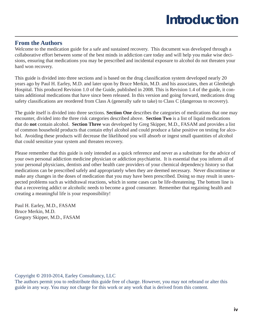## **Introduction**

#### **From the Authors**

Welcome to the medication guide for a safe and sustained recovery. This document was developed through a collaborative effort between some of the best minds in addiction care today and will help you make wise decisions, ensuring that medications you may be prescribed and incidental exposure to alcohol do not threaten your hard won recovery.

This guide is divided into three sections and is based on the drug classification system developed nearly 20 years ago by Paul H. Earley, M.D. and later upon by Bruce Merkin, M.D. and his associates, then at Glenbeigh Hospital. This produced Revision 1.0 of the Guide, published in 2008. This is Revision 1.4 of the guide, it contains additional medications that have since been released. In this version and going forward, medications drug safety classifications are reordered from Class A (generally safe to take) to Class C (dangerous to recovery).

The guide itself is divided into three sections. **Section One** describes the categories of medications that one may encounter, divided into the three risk categories described above. **Section Two** is a list of liquid medications that do **not** contain alcohol. **Section Three** was developed by Greg Skipper, M.D., FASAM and provides a list of common household products that contain ethyl alcohol and could produce a false positive on testing for alcohol. Avoiding these products will decrease the likelihood you will absorb or ingest small quantities of alcohol that could sensitize your system and threaten recovery.

Please remember that this guide is only intended as a quick reference and never as a substitute for the advice of your own personal addiction medicine physician or addiction psychiatrist. It is essential that you inform all of your personal physicians, dentists and other health care providers of your chemical dependency history so that medications can be prescribed safely and appropriately when they are deemed necessary. Never discontinue or make any changes in the doses of medication that you may have been prescribed. Doing so may result in unexpected problems such as withdrawal reactions, which in some cases can be life-threatening. The bottom line is that a recovering addict or alcoholic needs to become a good consumer. Remember that regaining health and creating a meaningful life is your responsibility!

Paul H. Earley, M.D., FASAM Bruce Merkin, M.D. Gregory Skipper, M.D., FASAM

Copyright **©** 2010-2014, Earley Consultancy, LLC

The authors permit you to redistribute this guide free of charge. However, you may not rebrand or alter this guide in any way. You may not charge for this work or any work that is derived from this content.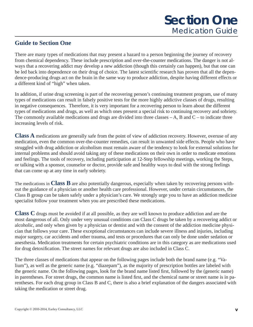### **Guide to Section One**

There are many types of medications that may present a hazard to a person beginning the journey of recovery from chemical dependency. These include prescription and over-the-counter medications. The danger is not always that a recovering addict may develop a new addiction (though this certainly can happen), but that one can be led back into dependence on their drug of choice. The latest scientific research has proven that all the dependence-producing drugs act on the brain in the same way to produce addiction, despite having different effects or a different kind of "high" when taken.

In addition, if urine drug screening is part of the recovering person's continuing treatment program, use of many types of medications can result in falsely positive tests for the more highly addictive classes of drugs, resulting in negative consequences. Therefore, it is very important for a recovering person to learn about the different types of medications and drugs, as well as which ones present a special risk to continuing recovery and sobriety. The commonly available medications and drugs are divided into three classes  $-A$ , B and  $C -$  to indicate three increasing levels of risk.

**Class A** medications are generally safe from the point of view of addiction recovery. However, overuse of any medication, even the common over-the-counter remedies, can result in unwanted side effects. People who have struggled with drug addiction or alcoholism must remain aware of the tendency to look for external solutions for internal problems and should avoid taking any of these medications on their own in order to medicate emotions and feelings. The tools of recovery, including participation at 12-Step fellowship meetings, working the Steps, or talking with a sponsor, counselor or doctor, provide safe and healthy ways to deal with the strong feelings that can come up at any time in early sobriety.

The medications in **Class B** are also potentially dangerous, especially when taken by recovering persons without the guidance of a physician or another health care professional. However, under certain circumstances, the Class B group can be taken safely under a physician's care. We strongly urge you to have an addiction medicine specialist follow your treatment when you are prescribed these medications.

**Class C** drugs must be avoided if at all possible, as they are well known to produce addiction and are the most dangerous of all. Only under very unusual conditions can Class C drugs be taken by a recovering addict or alcoholic, and only when given by a physician or dentist and with the consent of the addiction medicine physician that follows your care. These exceptional circumstances can include severe illness and injuries, including major surgery, car accidents and other trauma, and tests or procedures that can only be done under sedation or anesthesia. Medication treatments for certain psychiatric conditions are in this category as are medications used for drug detoxification. The street names for relevant drugs are also included in Class C.

The three classes of medications that appear on the following pages include both the brand name (e.g. "Valium"), as well as the generic name (e.g. "diazepam"), as the majority of prescription bottles are labeled with the generic name. On the following pages, look for the brand name listed first, followed by the (generic name) in parentheses. For street drugs, the common name is listed first, and the chemical name or street name is in parentheses. For each drug group in Class B and C, there is also a brief explanation of the dangers associated with taking the medication or street drug.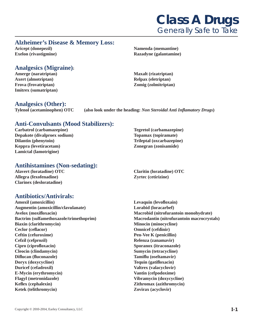### **Class A Drugs** *Generally Safe to Take*

#### **Alzheimer's Disease & Memory Loss:**

**Aricept (donepezil) Namenda (memantine) Namenda (memantine) Exelon (rivastigmine) Razadyne (galantamine)**

#### **Analgesics (Migraine):**

Amerge (naratriptan) Maxalt (rizatriptan) Maxalt (rizatriptan) **Axert (almotriptan) Relpax (eletriptan) Frova (frovatriptan) Zomig (zolmitriptan) Imitrex (sumatriptan)**

### **Analgesics (Other):**

(also look under the heading: *Non Steroidal Anti Inflamatory Drugs*)

#### **Anti-Convulsants (Mood Stabilizers):**

**Carbatrol (carbamazepine) Tegretol (carbamazepine) Depakote (divalproex sodium) Topamax (topiramate) Dilantin (phenytoin)** Trileptal (oxcarbazepine) **Keppra (levetiracetam) Zonegran (zonisamide) Lamictal (lamotrigine)** 

#### **Antihistamines (Non-sedating):**

**Allegra (fexofenadine) Zyrtec (cetirizine) Clarinex (desloratadine)**

### **Antibiotics/Antivirals:**

Amoxil (amoxicillin) **Levaquin (levofloxain) Augmentin (amoxicillin/clavulanate) Lorabid (loracarbef) Avelox (moxifl oxacin) Macrobid (nitrofurantoin monohydrate) Biaxin (clarithromycin)** Minocin (minocycline) Ceclor (ceflacor) **Omnicef** (cefdinir) **Ceftin (cefuroxime)** Pen-Vee K (penicillin) **Cefzil (cefprozil) Relenza (zanamavir)**  Cipro (ciprofloxacin) Sporanox (itraconazole) **Cleocin (clindamycin) Sumycin (tetracycline) Diflucan (fluconazole)** Tamiflu (oseltamavir) **Doryx (doxycycline)** Tequin (gatifloxacin) **Duricef (cefadroxil) Valtrex (valacyclovir) Valtrex (valacyclovir) E-Mycin (erythromycin) Vantin (cefpodoxime) Flagyl (metronidazole) Vibramycin (doxycycline) Keflex (cephalexin) Zithromax (azithromycin) Ketek (telithromycin) Zovirax (acyclovir)**

**Alavert (loratadine) OTC Claritin (loratadine) OTC** 

**Bactrim (sulfamethoxazole/trimethoprim) Macrodantin (nitrofurantoin macrocrystals)**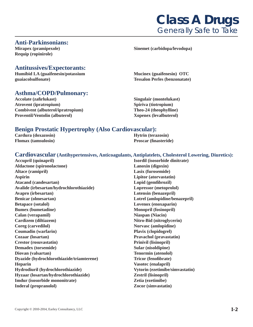#### **Anti-Parkinsonians:**

**Requip (ropinirole)**

#### **Antitussives/Expectorants:**

**Humibid LA (guaifenesin/potassium Mucinex (guaifenesin) OTC guaiacolsulfonate) Tessalon Perles (benzonatate)**

#### **Asthma/COPD/Pulmonary:**

**Accolate (zafi rlukast) Singulair (montelukast) Atrovent (ipratropium) Spiriva (tiotropium) Combivent (albuterol/ipratropium) Theo-24 (theophylline) Proventil/Ventolin (albuterol)** Xopenex (levalbuterol)

#### **Benign Prostatic Hypertrophy (Also Cardiovascular):**

**Cardura (doxazosin) Hytrin (terazosin) Flomax** (**tamsulosin**) **Proscar (finasteride**)

#### **Cardiovascular (Antihypertensives, Anticoagulants, Antiplatelets, Cholesterol Lowering, Diuretics):**

**Aldactone (spironolactone) Lanoxin (digoxin) Altace (ramipril) Lasix (furosemide) Aspirin Lipitor (atorvastatin)**  Atacand (candesartan) **Lopid (gemfibrozil) Lopid** (gemfibrozil) **Avalide (irbesartan/hydrochlorothiazide) Lopressor (metoprolol) Avapro (irbesartan) Lotensin (benazepril) Benicar (olmesartan) Lotrel (amlopidine/benazepril) Betapace (sotalol) Lovenox (enoxaparin) Bumex (bumetadine)** Monopril (fosinopril) **Calan (verapamil) Niaspan (Niacin) Cardizem (diltiazem)** Nitro-Bid (nitroglycerin) **Coreg (carvedilol)** Norvasc (amlopidine) **Coumadin (warfarin) Plavix (clopidogrel) Cozaar (losartan) Pravachol (pravastatin) Crestor (rosuvastatin) Prinivil (lisinopril) Demadex (torsemide)** Sular (nisoldipine) **Diovan (valsartan)** Tenormin (atenolol) **Dyazide (hydrochlorothiazide/triamterene)** Tricor (fenofibrate) **Heparin** Vasotec (enalapril) **Hydrodiuril (hydrochlorothiazide) Vytorin (ezetimibe/simvastatin) Hyzaar (losartan/hydrochlorothiazide) Zestril (lisinopril) Imdur (isosorbide mononitrate) Zetia (ezetimibe) Inderal (propranolol) Zocor (simvastatin)**

**Accupril (quinapril) Isordil (isosorbide dinitrate)** 



#### **Mirapex (pramipexole) Sinemet (carbidopa/levodopa)**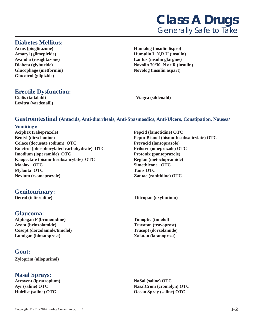

#### **Diabetes Mellitus:**

Glucophage (metformin) Novolog (insulin aspart) **Glucotrol (glipizide)**

**Actos (pioglitazone) Humalog (insulin lispro) Amaryl (glimepiride) Humulin L,N,R,U (insulin) Avandia (rosiglitazone) Lantus (insulin glargine) Diabeta (glyburide)** Novolin 70/30, N or R (insulin)

#### **Erectile Dysfunction:**

Cialis (tadalafil) Viagra (sildenafil) **Levitra (vardenafi l)**

#### **Gastrointestinal (Antacids, Anti-diarrheals, Anti-Spasmosdics, Anti-Ulcers, Constipation, Nausea/**

#### **Vomiting):**

**Aciphex (rabeprazole) Pepcid (famotidine) OTC Bentyl (dicyclomine) Pepto-Bismol (bismuth subsalicylate) OTC Colace (docusate sodium) OTC Prevacid (lansoprazole) Emetrol (phosphorylated carbohydrate) OTC Prilosec (omeprazole) OTC Imodium (loperamide) OTC** Protonix (pantoprazole) **Kaopectate (bismuth subsalicylate) OTC Reglan (metoclopramide) Maalox OTC Simethicone OTC Mylanta OTC** Tums OTC **Nexium (esomeprazole) Zantac (ranitidine) OTC** 

#### **Genitourinary:**

#### **Glaucoma:**

**Alphagan P (brimonidine) Timoptic (timolol) Azopt (brinzolamide) Travatan (travoprost) Cosopt (dorzolamide/timolol) Trusopt (dorzolamide) Lumigan (bimatoprost) Xalatan (latanoprost)**

#### **Gout:**

**Zyloprim (allopurinol)**

#### **Nasal Sprays:**

**Atrovent (ipratropium) NaSal (saline) OTC** 

**Detrol (tolterodine) Ditropan (oxybutinin)** 

**Ayr (saline) OTC NasalCrom (cromolyn) OTC HuMist (saline) OTC Ocean Spray (saline) OTC**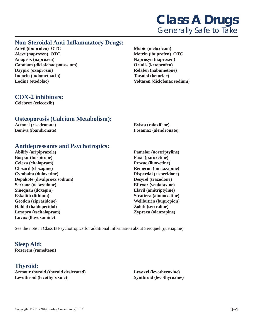#### **Non-Steroidal Anti-Infl ammatory Drugs:**

**Advil (ibuprofen) OTC Mobic (meloxicam) Aleve (naproxen) OTC** Motrin (ibuprofen) OTC **Anaprox (naproxen)** Naprosyn (naproxen) Cataflam (diclofenac potassium) **Orudis (ketoprofen) Orudis (experiently Daypro (oxaprozin) Relafen (nabumetone) Indocin (indomethacin)** Toradol (ketorlac) **Lodine (etodolac) Voltaren (diclofenac sodium)**

#### **COX-2 inhibitors:**

**Celebrex (celecoxib)**

#### **Osteoporosis (Calcium Metabolism):**

**Actonel (risedronate) Evista (raloxifene)**

**Boniva (ibandronate) Fosamax (alendronate)**

#### **Antidepressants and Psychotropics:**

- **Abilify (aripiprazole) Pamelor (nortriptyline) Buspar (buspirone)** Paxil (paroxetine) **Celexa (citalopram)** Prozac (**fluoxetine**) **Clozaril (clozapine) Remeron (mirtazapine) Cymbalta (duloxetine) Risperdal (risperidone) Depakote (divalproex sodium) Desyrel (trazodone) Serzone (nefazodone) Effexor (venlafaxine) Sinequan (doxepin) Elavil (amitriptyline) Eskalith (lithium)** Strattera (atomoxetine) **Geodon (ziprasidone) Wellbutrin (bupropion) Haldol (haldoperidol) Zoloft (sertraline) Lexapro (escitalopram) Zyprexa (olanzapine) Luvox (fl uvoxamine)**
	-

See the note in Class B Psychotropics for additional information about Seroquel (quetiapine).

**Sleep Aid: Rozerem (ramelteon)**

**Thyroid: Armour thyroid (thyroid desiccated) Levoxyl (levothyroxine) Levothroid (levothyroxine) Synthroid (levothyroxine)**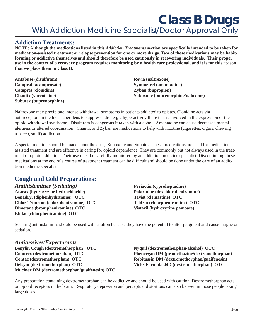**Class B Drugs**  *With Addiction Medicine Specialist/Doctor Approval Only*

#### **Addiction Treatments:**

**NOTE: Although the medications listed in this** *Addiction Treatments* **section are specifi cally intended to be taken for medication-assisted treatment or relapse prevention for one or more drugs. Two of these medications may be habitforming or addictive themselves and should therefore be used cautiously in recovering individuals. Their proper use in the context of a recovery program requires monitoring by a health care professional, and it is for this reason that we place them in Class B.**

| <b>Antabuse (disulfiram)</b> | Revia (naltrexone)                |
|------------------------------|-----------------------------------|
| Campral (acamprosate)        | <b>Symmetrel</b> (amantadine)     |
| <b>Catapres (clonidine)</b>  | <b>Zyban</b> (bupropion)          |
| <b>Chantix (varenicline)</b> | Suboxone (buprenorphine/naloxone) |
| Subutex (buprenorphine)      |                                   |

Naltrexone may precipitate intense withdrawal symptoms in patients addicted to opiates. Clonidine acts via autoreceptors in the locus coeruleus to suppress adrenergic hyperactivity there that is involved in the expression of the opioid withdrawal syndrome. Disulfiram is dangerous if taken with alcohol. Amantadine can cause decreased mental alertness or altered coordination. Chantix and Zyban are medications to help with nicotine (cigarettes, cigars, chewing tobacco, snuff) addiction.

A special mention should be made about the drugs Suboxone and Subutex. These medications are used for medicationassisted treatment and are effective in caring for opioid dependence. They are commonly but not always used in the treatment of opioid addiction. Their use must be carefully monitored by an addiction medicine specialist. Discontinuing these medications at the end of a course of treatment treatment can be difficult and should be done under the care of an addiction medicine specalist.

#### **Cough and Cold Preparations:**

*Antihistamines (Sedating)* Periactin (cyproheptadine) **Atarax (hydroxyzine hydrochloride) Polarmine (dexchlorpheniramine) Benadryl (diphenhydramine) OTC** Tavist (clemastine) OTC **Chlor-Trimeton (chlorpheniramine) OTC Teldrin (chlorpheniramine) OTC Dimetane (brompheniramine) OTC Vistaril (hydroxyzine pamoate) Efi dac (chlorpheniramine) OTC** 

Sedating antihistamines should be used with caution because they have the potential to alter judgment and cause fatigue or sedation.

*Antitussives/Expectorants* **Benylin Cough (dextromethorphan) OTC Nyquil (dextromethorphan/alcohol) OTC Comtrex (dextromethorphan) OTC Phenergan DM (promethazine/dextromethorphan) Contac (dextromethorphan) OTC Robitussin DM (dextromethorphan/guaifenesin) Delsym (dextromethorphan) OTC Vicks Formula 44D (dextromethorphan) OTC Mucinex DM (dextromethorphan/guaifenesin) OTC**

Any preparation containing dextromethorphan can be addictive and should be used with caution. Dextromethorphan acts on opioid receptors in the brain. Respiratory depression and perceptual distortions can also be seen in those people taking large doses.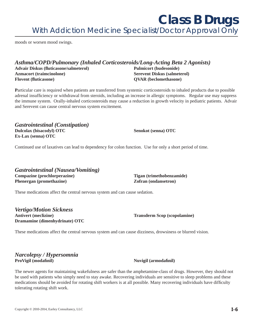**Class B Drugs**  *With Addiction Medicine Specialist/Doctor Approval Only*

moods or worsen mood swings.

#### *Asthma/COPD/Pulmonary (Inhaled Corticosteroids/Long-Acting Beta 2 Agonists)* **Advair Diskus (fl uticasone/salmeterol) Pulmicort (budesonide) Azmacort (traimcinolone) Serevent Diskus (salmeterol) Flovent (fluticasone) QVAR (beclomethasone)**

**P**articular care is required when patients are transferred from systemic corticosteroids to inhaled products due to possible adrenal insufficiency or withdrawal from steroids, including an increase in allergic symptoms. Regular use may suppress the immune system. Orally-inhaled corticosteroids may cause a reduction in growth velocity in pediatric patients. Advair and Serevent can cause central nervous system excitement.

*Gastrointestinal (Constipation)* **Dulcolax (bisacodyl) OTC** Senokot (senna) OTC **Ex-Lax (senna) OTC** 

Continued use of laxatives can lead to dependency for colon function. Use for only a short period of time.

*Gastrointestinal (Nausea/Vomiting)* **Compazine (prochlorperazine) Tigan (trimethobenzamide) Phenergan (promethazine) 2ofran (ondansetron)** 

These medications affect the central nervous system and can cause sedation.

*Vertigo/Motion Sickness* **Antivert (meclizine) Transderm Scop (scopolamine) Dramamine (dimenhydrinate) OTC**

These medications affect the central nervous system and can cause dizziness, drowsiness or blurred vision.

#### *Narcolepsy / Hypersomnia* **ProVigil (modafi nil) Nuvigil (armodafi nil)**

The newer agents for maintaining wakefulness are safer than the amphetamine-class of drugs. However, they should not be used with patients who simply need to stay awake. Recovering individuals are sensitive to sleep problems and these medications should be avoided for rotating shift workers is at all possible. Many recovering individuals have difficulty tolerating rotating shift work.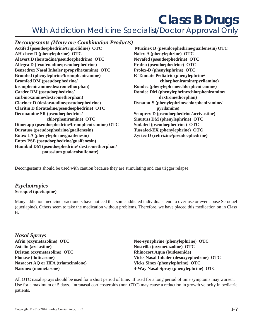## **Class B Drugs**

*With Addiction Medicine Specialist/Doctor Approval Only*

#### *Decongestants (Many are Combination Products)*

**Actifed (pseudoephedrine/triprolidine) OTC Mucinex D (pseudoephedrine/guaifenesin) OTC AH-chew D (phenylephrine) OTC Nalex-A (phenylephrine) OTC Alavert D (loratadine/pseudoephedrine) OTC Novafed (pseudoephedrine) OTC Allegra D (fexofenadine/pseudoephedrine) Profen (pseudoephedrine) OTC Benzedrex Nasal Inhaler (propylhexamine) OTC Prolex-D (phenylephrine) OTC Bromfed (phenylephrine/brompheniramine) R-Tannate Pediatric (phenylephrine/ Bromfed DM (pseudoephedrine/ chlorpheniramine/pyrilamine) brompheniramine/dextromethorphan) Rondec (phenylephrine/chlorpheniramine) Cardec DM (pseudoephedrine/ Rondec DM (phenylephrine/chlorpheniramine/ carbinoxamine/dextromethorphan) dextromethorphan Clarinex D (desloratadine/pseudoephedrine) Rynatan-S (phenylephrine/chlorpheniramine/ Claritin D (loratadine/pseudoephedrine) OTC pyrilamine) Deconamine SR (pseudoephedrine/ Semprex-D (pseudoephedrine/acrivastine) chlorpheniramine) OTC Sinutuss DM (phenylephrine) OTC Dimetapp (pseudoephedrine/brompheniramine) OTC Sudafed (pseudoephedrine) OTC Duratuss (pseudoephedrine/guaifenesin) Tussafed-EX (phenylephrine) OTC Entex LA (phenylephrine/guaifenesin) Zyrtec D (cetirizine/pseudoephedrine) Entex PSE (pseudoephedrine/guaifenesin) Humibid DM (pseudoephedrine/ dextromethorphan/ potassium guaiacolsulfonate)** 

Decongestants should be used with caution because they are stimulating and can trigger relapse.

#### *Psychotropics* **Seroquel (quetiapine)**

Many addiction medicine practioners have noticed that some addicted individuals tend to over-use or even abuse Seroquel (quetiapine). Others seem to take the medication without problems. Therefore, we have placed this medication on in Class B.

*Nasal Sprays* **Astelin (azelastine)** Nostrilla (oxymetazoline) OTC **Dristan (oxymetazoline) OTC Rhinocort Aqua (budesonide) Nasacort AQ or HFA (triamcinolone) Vicks Sinex (phenylephrine) OTC**

**Afrin (oxymetazoline) OTC** Neo-synephrine (phenylephrine) OTC **Flonase (fl uticasone) Vicks Nasal Inhaler (desoxyephedrine) OTC Nasonex (mometasone) 4-Way Nasal Spray (phenylephrine) OTC**

All OTC nasal sprays should be used for a short period of time. If used for a long period of time symptoms may worsen. Use for a maximum of 5 days. Intranasal corticosteroids (non-OTC) may cause a reduction in growth velocity in pediatric patients.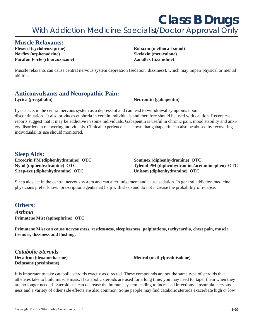#### **Muscle Relaxants:**

**Flexeril (cyclobenzaprine)** (**c Robaxin** (**methocarbamol**) **Norflex (orphenadrine)** Skelaxin (metaxalone) **Parafon Forte (chlorzoxazone)** *Zanaflex (tizanidine)* 

Muscle relaxants can cause central nervous system depression (sedation, dizziness), which may impair physical or mental abilities.

#### **Anticonvulsants and Neuropathic Pain:**

#### Lyrica (pregabalin) Neurontin (gabapentin)

Lyrica acts in the central nervous system as a depressant and can lead to withdrawal symptoms upon discontinuation. It also produces euphoria in certain individuals and therefore should be used with caution. Recent case reports suggest that it may be addictive in some individuals. Gabapentin is useful in chronic pain, mood stability and anxiety disorders in recovering individuals. Clinical experience has shown that gabapentin can also be abused by recovering individuals; its use should monitored.

#### **Sleep Aids:**

**Excedrin PM (diphenhydramine) OTC Sominex (diphenhydramine) OTC Sleep-eze (diphenhydramine) OTC Unisom (diphenhydramine) OTC**

**Nytol (diphenhydramine) OTC** Tylenol PM (diphenhydramine/acetaminophen) OTC

Sleep aids act in the central nervous system and can alter judgement and cause sedation. In general addiction medicine physicians prefer known prescription agents that help with sleep and do not increase the probability of relapse.

#### **Others:**

*Asthma* **Primatene Mist (epinephrine) OTC**

**Primatene Mist can cause nervousness, restlessness, sleeplessness, palpitations, tachycardia, chest pain, muscle tremors, dizziness and fl ushing.**

*Catabolic Steroids* **Deltasone (prednisone)**

**Decadron (dexamethasone)** Medrol (methylprednisolone)

It is important to take catabolic steroids exactly as directed. These compounds are not the same type of steroids that atheletes take to build muscle mass. If catabolic steroids are used for a long time, you may need to taper them when they are no longer needed. Steroid use can decrease the immune system leading to increased infections. Insomnia, nervousness and a variety of other side effects are also common. Some people may find catabolic steroids exacerbate high or low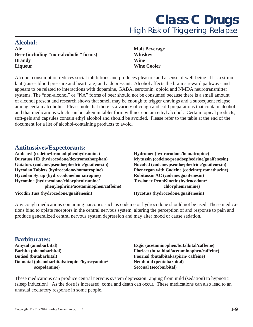#### **Alcohol:**

**Ale Malt Beverage Beer (including "non-alcoholic" forms) Whiskey Brandy** Wine **Liqueur** Wine Cooler

Alcohol consumption reduces social inhibitions and produces pleasure and a sense of well-being. It is a stimulant (raises blood pressure and heart rate) and a depressant. Alcohol affects the brain's reward pathways and appears to be related to interactions with dopamine, GABA, serotonin, opioid and NMDA neurotransmitter systems. The "non-alcohol" or "NA" forms of beer should not be consumed because there is a small amount of alcohol present and research shows that smell may be enough to trigger cravings and a subsequent relapse among certain alcoholics. Please note that there is a variety of cough and cold preparations that contain alcohol and that medications which can be taken in tablet form will not contain ethyl alcohol. Certain topical products, soft-gels and capsules contain ethyl alcohol and should be avoided. Please refer to the table at the end of the document for a list of alcohol-containing products to avoid.

#### **Antitussives/Expectorants:**

Ambenyl (codeine/bromodiphenhydramine) **Hydromet (hydrocodone/homatropine) Duratuss HD (hydrocodone/dextromethorphan)** Mytussin (codeine/pseudoephedrine/guaifenesin) **Guiatuss (codeine/pseudoephedrine/guaifenesin) Nucofed (codeine/pseudoephedrine/guaifenesin) Hycodan Tablets (hydrocodone/homatropine) Phenergan with Codeine (codeine/promethazine) Hycodan Syrup (hydrocodone/homatropine) Robitussin AC (codeine/guaifenesin) Hycomine (hydrocodone/chlorpheniramine/ Tussionex PennKinetic (hydrocodone/ phenylephrine/acetaminophen/caffeine) chlorpheniramine)**

**Vicodin Tuss (hydrocodone/guaifenesin) Hycotuss (hydrocodone/guaifenesin)** 

Any cough medications containing narcotics such as codeine or hydrocodone should not be used. These medications bind to opiate receptors in the central nervous system, altering the perception of and response to pain and produce generalized central nervous system depression and may alter mood or cause sedation.

#### **Barbiturates:**

**Amytal (amobarbital) Esgic (acetaminophen/butalbital/caffeine) Barbita (phenobarbital) Fioricet (butalbital/acetaminophen/caffeine) Butisol (butabarbital) Fiorinal (butalbital/aspirin/ caffeine) Donnatal (phenobarbital/atropine/hyoscyamine/ Nembutal (pentobarbital) scopolamine)** Seconal (secobarbital)

These medications can produce central nervous system depression ranging from mild (sedation) to hypnotic (sleep induction). As the dose is increased, coma and death can occur. These medications can also lead to an unusual excitatory response in some people.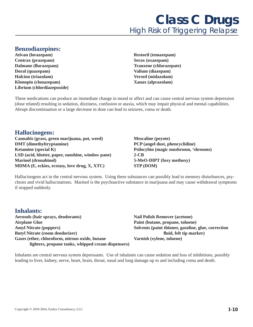#### **Benzodiazepines:**

- **Ativan (lorazepam) Restoril (temazepam) Centrax (prazepam) Serax (oxazepam) Dalmane (flurazepam)** Tranxene (chlorazepate) **Doral (quazepam) Valium (diazepam) Halcion (triazolam) Versed (midazolam) Klonopin (clonazepam) Xanax (alprazolam) Librium (chlordiazepoxide)**
	-

These medications can produce an immediate change in mood or affect and can cause central nervous system depression (dose related) resulting in sedation, dizziness, confusion or ataxia, which may impair physical and mental capabilities. Abrupt discontinuation or a large decrease in dose can lead to seizures, coma or death.

#### **Hallucinogens:**

**Cannabis (grass, green marijuana, pot, weed) Mescaline (peyote) DMT (dimethyltryptamine) PCP (angel dust, phencyclidine) Ketamine (special K) Psilocybin (magic mushroom, 'shrooms) LSD (acid, blotter, paper, sunshine, window pane) 2-CB Marinol (dronabinol) 5-MeO-DIPT (foxy methoxy) MDMA (E, eckies, ecstasy, love drug, X, XTC)** STP (DOM)

Hallucinogens act in the central nervous system. Using these substances can possibly lead to memory disturbances, psychosis and vivid hallucinations. Marinol is the psychoactive substance in marijuana and may cause withdrawal symptoms if stopped suddenly.

#### **Inhalants:**

**Aerosols (hair sprays, deodorants)** Nail Polish Remover (acetone) **Airplane Glue Paint (butane, propane, toluene)** Amyl Nitrate (poppers) Solvents (paint thinner, gasoline, glue, correction **Butyl Nitrate (room deodorizer)** *fluid, felt tip marker***) <b>***fluid, felt tip marker* Gases (ether, chloroform, nitrous oxide, butane Varnish (xylene, toluene)  **lighters, propane tanks, whipped cream dispensers)** 

Inhalants are central nervous system depressants. Use of inhalants can cause sedation and loss of inhibitions, possibly leading to liver, kidney, nerve, heart, brain, throat, nasal and lung damage up to and including coma and death.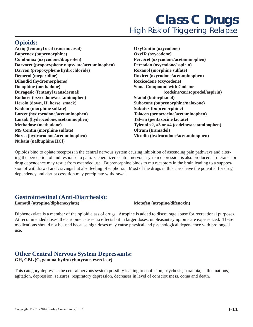#### **Opioids:**

**Actiq (fentanyl oral transmucosal) OxyContin (oxycodone) Buprenex (buprenorphine) OxyIR (oxycodone) Combunox (oxycodone/ibuprofen) Percocet (oxycodone/acetaminophen) Darvocet (propoxyphene napsylate/acetaminophen) Percodan (oxycodone/aspirin) Darvon (propoxyphene hydrochloride)** Roxanol (morphine sulfate) **Demerol (meperidine)** Roxicet (oxycodone/acetaminophen) **Dilaudid (hydromorphone) Roxicodone (oxycodone) Dolophine (methadone)** Soma Compound with Codeine **Duragesic (fentanyl transdermal) (codeine/carisoprodol/aspirin) Endocet (oxycodone/acetaminophen) Stadol (butorphanol) Heroin (down, H, horse, smack) Suboxone (buprenorphine/naloxone) Kadian (morphine sulfate) Subutex (buprenorphine) Lorcet (hydrocodone/acetaminophen) Talacen (pentazocine/acetaminophen) Lortab (hydrocodone/acetaminophen) Talwin (pentazocine lactate) Methadose (methadone) Tylenol #2, #3 or #4 (codeine/acetaminophen) MS Contin (morphine sulfate) Ultram (tramadol) Norco (hydrocodone/acetaminophen) Vicodin (hydrocodone/acetaminophen) Nubain (nalbuphine HCl)** 

Opioids bind to opiate receptors in the central nervous system causing inhibition of ascending pain pathways and altering the perception of and response to pain. Generalized central nervous system depression is also produced. Tolerance or drug dependence may result from extended use. Buprenorphine binds to mu receptors in the brain leading to a suppression of withdrawal and cravings but also feeling of euphoria. Most of the drugs in this class have the potential for drug dependency and abrupt cessation may precipitate withdrawal.

#### **Gastrointestinal (Anti-Diarrheals):**

**Lomotil (atropine/diphenoxylate)** Motofen (atropine/difenoxin)

Diphenoxylate is a member of the opioid class of drugs. Atropine is added to discourage abuse for recreational purposes. At recommended doses, the atropine causes no effects but in larger doses, unpleasant symptoms are experienced. These medications should not be used because high doses may cause physical and psychological dependence with prolonged use.

### **Other Central Nervous System Depressants:**

**GH, GBL (G, gamma-hydroxybutyrate, everclear)** 

This category depresses the central nervous system possibly leading to confusion, psychosis, paranoia, hallucinations, agitation, depression, seizures, respiratory depression, decreases in level of consciousness, coma and death.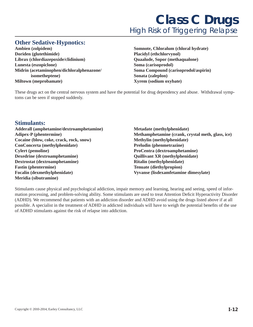#### **Other Sedative-Hypnotics:**

**Ambien (zolpidem) Somnote, Chloralum (chloral hydrate) Doriden (glutethimide) Placidyl (ethchlorvynol) Librax (chlordiazepoxide/clidinium) Quaalude, Sopor (methaqualone) Lunesta (eszopiclone) Soma (carisoprodol) Midrin (acetaminophen/dichloralphenazone/ Soma Compound (carisoprodol/aspirin) isometheptene)** Sonata (zaleplon) **Miltown (meprobamate) Xyrem (sodium oxybate)**

These drugs act on the central nervous system and have the potential for drug dependency and abuse. Withdrawal symptoms can be seen if stopped suddenly.

#### **Stimulants:**

**Adderall (amphetamine/dextroamphetamine) Metadate (methylphenidate) Cocaine (blow, coke, crack, rock, snow) Methylin (methylphenidate) ConConcerta (methylphenidate)** Preludin (phenmetrazine) **Cylert (pemoline) ProCentra (dextroamphetamine) Dexedrine (dextroamphetamine) Quillivant XR (methylphenidate) Dextrostat (dextroamphetamine)** Ritalin (methylphenidate) **Fastin (phentermine)** Tenuate (diethylpropion) **Focalin (dexmethylphenidate) Vyvanse (lisdexamfetamine dimesylate) Meridia (sibutramine)** 

**Adipex-P (phentermine) Methamphetamine (crank, crystal meth, glass, ice)**

Stimulants cause physical and psychological addiction, impair memory and learning, hearing and seeing, speed of information processing, and problem-solving ability. Some stimulants are used to treat Attention Deficit Hyperactivity Disorder (ADHD). We recommend that patients with an addiction disorder and ADHD avoid using the drugs listed above if at all possible. A specialist in the treatment of ADHD in addicted individuals will have to weigh the potential benefits of the use of ADHD stimulants against the risk of relapse into addiction.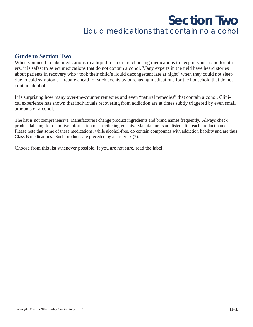### **Section Two**  *Liquid medications that contain no alcohol*

#### **Guide to Section Two**

When you need to take medications in a liquid form or are choosing medications to keep in your home for others, it is safest to select medications that do not contain alcohol. Many experts in the field have heard stories about patients in recovery who "took their child's liquid decongestant late at night" when they could not sleep due to cold symptoms. Prepare ahead for such events by purchasing medications for the household that do not contain alcohol.

It is surprising how many over-the-counter remedies and even "natural remedies" that contain alcohol. Clinical experience has shown that individuals recovering from addiction are at times subtly triggered by even small amounts of alcohol.

The list is not comprehensive. Manufacturers change product ingredients and brand names frequently. Always check product labeling for definitive information on specific ingredients. Manufacturers are listed after each product name. Please note that some of these medications, while alcohol-free, do contain compounds with addiction liability and are thus Class B medications. Such products are preceded by an asterisk (\*).

Choose from this list whenever possible. If you are not sure, read the label!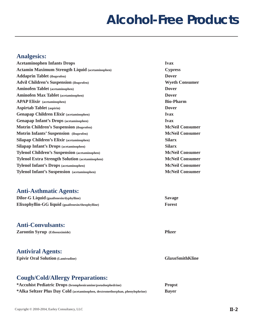#### **Analgesics:**

| <b>Acetaminophen Infants Drops</b>                     | <b>Ivax</b>            |
|--------------------------------------------------------|------------------------|
| <b>Actamin Maximum Strength Liquid (acetaminophen)</b> | <b>Cypress</b>         |
| <b>Addaprin Tablet</b> (ibuprofen)                     | <b>Dover</b>           |
| <b>Advil Children's Suspension (ibuprofen)</b>         | <b>Wyeth Consumer</b>  |
| <b>Aminofen Tablet</b> (acetaminophen)                 | <b>Dover</b>           |
| <b>Aminofen Max Tablet</b> (acetaminophen)             | <b>Dover</b>           |
| <b>APAP Elixir</b> (acetaminophen)                     | <b>Bio-Pharm</b>       |
| <b>Aspirtab Tablet</b> (aspirin)                       | <b>Dover</b>           |
| <b>Genapap Children Elixir (acetaminophen)</b>         | <b>Ivax</b>            |
| <b>Genapap Infant's Drops</b> (acetaminophen)          | <b>Ivax</b>            |
| <b>Motrin Children's Suspension (ibuprofen)</b>        | <b>McNeil Consumer</b> |
| <b>Motrin Infants' Suspension</b> (ibuprofen)          | <b>McNeil Consumer</b> |
| <b>Silapap Children's Elixir (acetaminophen)</b>       | <b>Silarx</b>          |
| <b>Silapap Infant's Drops (acetaminophen)</b>          | <b>Silarx</b>          |
| <b>Tylenol Children's Suspension (acetaminophen)</b>   | <b>McNeil Consumer</b> |
| <b>Tylenol Extra Strength Solution (acetaminophen)</b> | <b>McNeil Consumer</b> |
| <b>Tylenol Infant's Drops (acetaminophen)</b>          | <b>McNeil Consumer</b> |
| <b>Tylenol Infant's Suspension</b> (acetaminophen)     | <b>McNeil Consumer</b> |

#### **Anti-Asthmatic Agents:**

| <b>Dilor-G Liquid</b> (guaifenesin/dyphylline)    | <b>Savage</b> |
|---------------------------------------------------|---------------|
| Elixophyllin-GG liquid (guaifenesin/theophylline) | Forest        |

#### **Anti-Convulsants:**

**Zarontin Syrup (Ethosuximide) Pfi zer**

#### **Antiviral Agents:**

**Epivir Oral Solution (Lamivudine) GlaxoSmithKline**

#### **Cough/Cold/Allergy Preparations:**

| *Accuhist Pediatric Drops (brompheniramine/pseudoephedrine)                  | <b>Propst</b> |
|------------------------------------------------------------------------------|---------------|
| *Alka Seltzer Plus Day Cold (acetaminophen, dextromethorphan, phenylephrine) | <b>Bayer</b>  |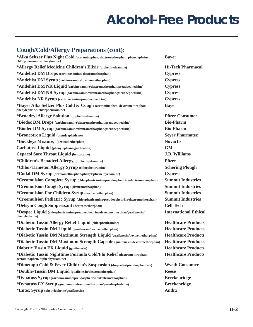#### **Cough/Cold/Allergy Preparations (cont):**

| *Alka Seltzer Plus Night Cold (acetaminophen, dextromethorphan, phenylephrine,<br>chlorpheniramine, doxylamine) | <b>Bayer</b>                 |
|-----------------------------------------------------------------------------------------------------------------|------------------------------|
| *Allergy Relief Medicine Children's Elixir (diphenhydramine)                                                    | <b>Hi-Tech Pharmacal</b>     |
| *Andehist DM Drops (carbinoxamine/dextromethorphan)                                                             | <b>Cypress</b>               |
| *Andehist DM Syrup (carbinoxamine/dextromethorphan)                                                             | <b>Cypress</b>               |
| *Andehist DM NR Liquid (carbinoxamine/dextromethorphan/pseudoephedrine)                                         | <b>Cypress</b>               |
| *Andehist DM NR Syrup (carbinoxamine/dextromethorphan/pseudoephedrine)                                          | <b>Cypress</b>               |
| *Andehist NR Syrup (carbinoxamine/pseudoephedrine)                                                              | <b>Cypress</b>               |
| *Bayer Alka Seltzer Plus Cold & Cough (acetaminophen, dextromethrophan,<br>phenylephrine, chlorpheniramine)     | <b>Bayer</b>                 |
| *Benadryl Allergy Solution (diphenhydramine)                                                                    | <b>Pfizer Consumer</b>       |
| *Biodec DM Drops (carbinoxamine/dextromethorphan/pseudoephedrine)                                               | <b>Bio-Pharm</b>             |
| *Biodec DM Syrup (carbinoxamine/dextromethorphan/pseudoephedrine)                                               | <b>Bio-Pharm</b>             |
| *Broncotron Liquid (pseudoephedrine)                                                                            | <b>Seyer Pharmatec</b>       |
| *Buckleys Mixture, (dextromethorphan)                                                                           | <b>Novartis</b>              |
| Carbatuss Liquid (phenylephrine/guaifenesin)                                                                    | <b>GM</b>                    |
| <b>Cepacol Sore Throat Liquid (benzocaine)</b>                                                                  | <b>J.B. Williams</b>         |
| *Children's Benadryl Allergy, (diphenhydramine)                                                                 | <b>Pfizer</b>                |
| *Chlor-Trimeton Allergy Syrup (chlorpheniramine)                                                                | <b>Schering Plough</b>       |
| *Codal-DM Syrup (dextromethorphan/phenylephrine/pyrilamine)                                                     | <b>Cypress</b>               |
| *Creomulsion Complete Syrup (chlorpheniramine/pseudoephedrine/dextromethorphan)                                 | <b>Summit Industries</b>     |
| *Creomulsion Cough Syrup (dextromethorphan)                                                                     | <b>Summit Industries</b>     |
| *Creomulsion For Children Syrup (dextromethorphan)                                                              | <b>Summit Industries</b>     |
| *Creomulsion Pediatric Syrup (chlorpheniramine/pseudoephedrine/dextromethorphan)                                | <b>Summit Industries</b>     |
| *Delsym Cough Suppressant (dextromethorphan)                                                                    | <b>Cell Tech</b>             |
| *Despec Liquid (chlorpheniramine/pseudoephedrine/dextromethorphan/guaifenesin/<br>phenylephrine)                | <b>International Ethical</b> |
| *Diabetic Tussin Allergy Relief Liquid (chlorpheniramine)                                                       | <b>Healthcare Products</b>   |
| *Diabetic Tussin DM Liquid (guaifenesin/dextromethorphan)                                                       | <b>Healthcare Products</b>   |
| *Diabetic Tussin DM Maximum Strength Liquid (guaifenesin/dextromethorphan)                                      | <b>Healthcare Products</b>   |
| *Diabetic Tussin DM Maximum Strength Capsule (guaifenesin/dextromethorphan)                                     | <b>Healthcare Products</b>   |
| <b>Diabetic Tussin EX Liquid (guaifenesin)</b>                                                                  | <b>Healthcare Products</b>   |
| *Diabetic Tussin Nighttime Formula Cold/Flu Relief (dextromethrophan,<br>acetaminophen, diphenhydramine)        | <b>Healthcare Products</b>   |
| *Dimetapp Cold & Fever Children's Suspension (ibuprofen/pseudoephedrine)                                        | <b>Wyeth Consumer</b>        |
| *Double-Tussin DM Liquid (guaifenesin/dextromethorphan)                                                         | <b>Reese</b>                 |
| *Dynatuss Syrup (carbinoxamine/pseudoephedrine/dextromethorphan)                                                | <b>Breckenridge</b>          |
| *Dynatuss EX Syrup (guaifenesin/dextromethorphan/pseudoephedrine)                                               | <b>Breckenridge</b>          |
| *Entex Syrup (phenylephrine/guaifenesin)                                                                        | <b>Andrx</b>                 |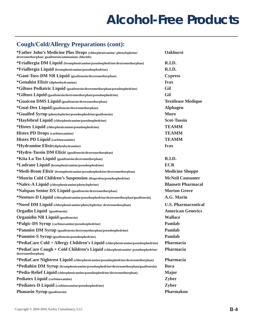#### **Cough/Cold/Allergy Preparations (cont):**

| *Father John's Medicine Plus Drops (chlorpheniramine/phenylephrine/<br>dextromethorphan/ guaifenesin/ammonium chloride) | <b>Oakhurst</b>            |
|-------------------------------------------------------------------------------------------------------------------------|----------------------------|
| *Friallergia DM Liquid (brompheniramine/pseudoephedrine/dextromethorphan)                                               | R.I.D.                     |
| *Friallergia Liquid (brompheniramine/pseudoephedrine)                                                                   | R.I.D.                     |
| *Gani-Tuss-DM NR Liquid (guaifenesin/dextromethorphan)                                                                  | <b>Cypress</b>             |
| *Genahist Elixir (diphenhydramine)                                                                                      | <b>Ivax</b>                |
| *Giltuss Pediatric Liquid (guaifenesin/dextromethorphan/pseudoephedrine)                                                | Gil                        |
| *Giltuss Liquid (guaifenesin/dextromethorphan/pseudoephedrine)                                                          | Gil                        |
| *Guaicon DMS Liquid (guaifenesin/dextromethorphan)                                                                      | <b>Textilease Medique</b>  |
| *Guai-Dex Liquid (guaifenesin/dextromethorphan)                                                                         | <b>Alphagen</b>            |
| *Guaifed Syrup (phenylephrine/pseudoephedrine/guaifenesin)                                                              | <b>Muro</b>                |
| *Hayfebrol Liquid (chlorpheniramine/pseudoephedrine)                                                                    | <b>Scot-Tussin</b>         |
| *Histex Liquid (chlorpheniramine/pseudoephedrine)                                                                       | <b>TEAMM</b>               |
| <b>Histex PD Drops (carbinoxamine)</b>                                                                                  | <b>TEAMM</b>               |
| <b>Histex PD Liquid (carbinoxamine)</b>                                                                                 | <b>TEAMM</b>               |
| *Hydramine Elixir(diphenhydramine)                                                                                      | <b>Ivax</b>                |
| *Hydro-Tussin DM Elixir (guaifenesin/dextromethorphan)                                                                  |                            |
| *Kita La Tos Liquid (guaifenesin/dextromethorphan)                                                                      | R.I.D.                     |
| *Lodrane Liquid (brompheniramine/pseudoephedrine)                                                                       | <b>ECR</b>                 |
| *Medi-Brom Elixir (brompheniramine/pseudoephedrine/dextromethorphan)                                                    | <b>Medicine Shoppe</b>     |
| *Motrin Cold Children's Suspension (ibuprofen/pseudoephedrine)                                                          | <b>McNeil Consumer</b>     |
| *Nalex-A Liquid (chlorpheniramine/phenylephrine)                                                                        | <b>Blansett Pharmacal</b>  |
| *Nalspan Senior DX Liquid (guaifenesin/dextromethorphan)                                                                | <b>Morton Grove</b>        |
| *Neotuss-D Liquid (chlorpheniramine/pseudoephedrine/dextromethorphan/guaifenesin)                                       | A.G. Marin                 |
| *Norel DM Liquid (chlorpheniramine/phenylephrine/dextromethorphan)                                                      | <b>U.S. Pharmaceutical</b> |
| <b>Orgadin Liquid</b> (guaifenesin)                                                                                     | <b>American Generics</b>   |
| <b>Organidin NR Liquid (guaifenesin)</b>                                                                                | <b>Wallace</b>             |
| *Palgic-DS Syrup (carbinoxamine/pseudoephedrine)                                                                        | Pamlab                     |
| *Panmist DM Syrup (guaifenesin/dextromethorphan/pseudoephedrine)                                                        | Pamlab                     |
| *Panmist-S Syrup (guaifenesin/pseudoephedrine)                                                                          | Pamlab                     |
| *PediaCare Cold + Allergy Children's Liquid (chlorpheniramine/pseudoephedrine)                                          | Pharmacia                  |
| *PediaCare Cough + Cold Children's Liquid (chlorpheniramine/pseudoephedrine/<br>dextromethorphan)                       | Pharmacia                  |
| *PediaCare Nightrest Liquid (chlorpheniramine/pseudoephedrine/dextromethorphan)                                         | Pharmacia                  |
| *Pediahist DM Syrup (brompheniramine/pseudoephedrine/dextromethorphan/guaifenesin)                                      | <b>Boca</b>                |
| *Pedia-Relief Liquid (chlorpheniramine/pseudoephedrine/dextromethorphan)                                                | <b>Major</b>               |
| <b>Pediatex Liquid (carbinoxamine)</b>                                                                                  | Zyber                      |
| *Pediatex-D Liquid (carbinoxamine/pseudoephedrine)                                                                      | Zyber                      |
| <b>Phanasin Syrup (guaifenesin)</b>                                                                                     | Pharmakon                  |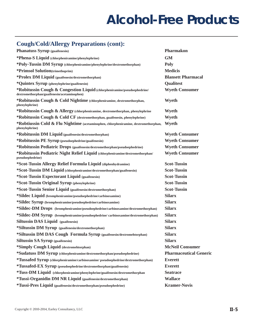### **Cough/Cold/Allergy Preparations (cont):**

| <b>Phanatuss Syrup (guaifenesin)</b>                                                                                    | <b>Pharmakon</b>              |
|-------------------------------------------------------------------------------------------------------------------------|-------------------------------|
| *Phena-S Liquid (chlorpheniramine/phenylephrine)                                                                        | <b>GM</b>                     |
| *Poly-Tussin DM Syrup (chlorpheniramine/phenylephrine/dextromethorphan)                                                 | <b>Poly</b>                   |
| *Primsol Solution(trimethoprim)                                                                                         | <b>Medicis</b>                |
| *Prolex DM Liquid (guaifenesin/dextromethorphan)                                                                        | <b>Blansett Pharmacal</b>     |
| *Quintex Syrup (phenylephrine/guaifenesin)                                                                              | <b>Qualitest</b>              |
| *Robitussin Cough & Congestion Liquid (chlorpheniramine/pseudoephedrine/<br>dextromethorphan/guaifenesin/acetaminophen) | <b>Wyeth Consumer</b>         |
| *Robitussin Cough & Cold Nightime (chlorpheniramine, dextromethorphan,<br>phenylephrine)                                | Wyeth                         |
| *Robitussin Cough & Allergy (chlorpheniramine, dextromethorphan, phenylephrine                                          | Wyeth                         |
| *Robitussin Cough & Cold CF (dextromethorphan, guaifenesin, phenylephrine)                                              | Wyeth                         |
| *Robtiussin Cold & Flu Nightime (acetaminophen, chlorpheniramine, dextromethorphan,<br>phenylephrine)                   | Wyeth                         |
| *Robitussin DM Liquid (guaifenesin/dextromethorphan)                                                                    | <b>Wyeth Consumer</b>         |
| *Robitussin PE Syrup (pseudoephedrine/guaifenesin)                                                                      | <b>Wyeth Consumer</b>         |
| *Robitussin Pediatric Drops (guaifenesin/dextromethorphan/pseudoephedrine)                                              | <b>Wyeth Consumer</b>         |
| *Robitussin Pediatric Night Relief Liquid (chlorpheniramine/dextromethorphan/<br>pseudoephedrine)                       | <b>Wyeth Consumer</b>         |
| *Scot-Tussin Allergy Relief Formula Liquid (diphenhydramine)                                                            | <b>Scot-Tussin</b>            |
| *Scot-Tussin DM Liquid (chlorpheniramine/dextromethorphan/guaifenesin)                                                  | <b>Scot-Tussin</b>            |
| *Scot-Tussin Expectorant Liquid (guaifenesin)                                                                           | <b>Scot-Tussin</b>            |
| *Scot-Tussin Original Syrup (phenylephrine)                                                                             | <b>Scot-Tussin</b>            |
| *Scot-Tussin Senior Liquid (guaifenesin/dextromethorphan)                                                               | <b>Scot-Tussin</b>            |
| *Sildec Liquid (brompheniramine/pseudoephedrine/carbinoxamine)                                                          | <b>Silarx</b>                 |
| *Sildec Syrup (brompheniramine/pseudoephedrine/carbinoxamine)                                                           | <b>Silarx</b>                 |
| *Sildec-DM Drops (brompheniramine/pseudoephedrine/carbinoxamine/dextromethorphan)                                       | <b>Silarx</b>                 |
| *Sildec-DM Syrup (brompheniramine/pseudoephedrine/carbinoxamine/dextromethorphan)                                       | <b>Silarx</b>                 |
| <b>Siltussin DAS Liquid</b> (guaifenesin)                                                                               | <b>Silarx</b>                 |
| *Siltussin DM Syrup (guaifenesin/dextromethorphan)                                                                      | <b>Silarx</b>                 |
| *Siltussin DM DAS Cough Formula Syrup (guaifenesin/dextromehtorphan)                                                    | <b>Silarx</b>                 |
| <b>Siltussin SA Syrup</b> (guaifenesin)                                                                                 | <b>Silarx</b>                 |
| *Simply Cough Liquid (dextromehtorphan)                                                                                 | <b>McNeil Consumer</b>        |
| *Sudatuss DM Syrup (chlorpheniramine/dextromethorphan/pseudoephedrine)                                                  | <b>Pharmaceutical Generic</b> |
| *Tussafed Syrup (chlorpheniramine/carbinoxamine/ pseudoephedrine/dextromethorphan)                                      | <b>Everett</b>                |
| *Tussafed-EX Syrup (pseudoephedrine/dextromethorphan/guaifenesin)                                                       | <b>Everett</b>                |
| *Tuss-DM Liquid (chlorpheniramine/phenylephrine/guaifenesin/dextromethorphan                                            | <b>Seatrace</b>               |
| *Tussi-Organidin DM NR Liquid (guaifenesin/dextromethorphan)                                                            | <b>Wallace</b>                |
| *Tussi-Pres Liquid (guaifenesin/dextromethorphan/pseudoephedrine)                                                       | <b>Kramer-Novis</b>           |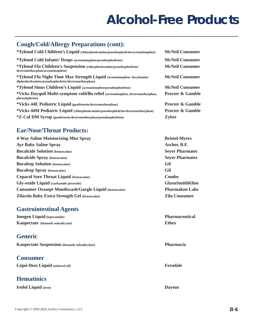#### **Cough/Cold/Allergy Preparations (cont):**

| *Tylenol Cold Children's Liquid (chlorpheniramine/pseudoephedrine/acetaminophen)                                            | <b>McNeil Consumer</b>      |
|-----------------------------------------------------------------------------------------------------------------------------|-----------------------------|
| *Tylenol Cold Infants' Drops (acetaminophen/pseudoephedrine)                                                                | <b>McNeil Consumer</b>      |
| *Tylenol Flu Children's Suspension (chlorpheniramine/pseudoephedrine/<br>dextromethorphan/acetaminophen)                    | <b>McNeil Consumer</b>      |
| *Tylenol Flu Night Time Max Strength Liquid (acetaminophen/doxylamine/<br>diphenhydramine/pseudoephedrine/dextromethorphan) | <b>McNeil Consumer</b>      |
| *Tylenol Sinus Children's Liquid (acetaminophen/pseudoephedrine)                                                            | <b>McNeil Consumer</b>      |
| *Vicks Dayquil Multi-symptom cold/flu relief (acetaminophen, dextromethorphan,<br>phenylephrine)                            | <b>Procter &amp; Gamble</b> |
| *Vicks 44E Pediatric Liquid (guaifenesin/dextromethorphan)                                                                  | <b>Procter &amp; Gamble</b> |
| *Vicks 44M Pediatric Liquid (chlorpheniramine/pseudoephedrine/dextromethorphan)                                             | <b>Procter &amp; Gamble</b> |
| *Z-Cof DM Syrup (guaifenesin/dextromethorphan/pseudoephedrine)                                                              | <b>Zyber</b>                |

#### **Ear/Nose/Throat Products:**

| <b>4-Way Saline Moisturizing Mist Spray</b>                  | <b>Bristol-Myers</b>   |
|--------------------------------------------------------------|------------------------|
| <b>Ayr Baby Saline Spray</b>                                 | Ascher, B.F.           |
| <b>Bucalcide Solution</b> (benzocaine)                       | <b>Sever Pharmatec</b> |
| <b>Bucalcide Spray</b> (benzocaine)                          | <b>Sever Pharmatec</b> |
| <b>Bucalsep Solution</b> (benzocaine)                        | Gil                    |
| <b>Bucalsep Spray</b> (benzocaine)                           | Gil                    |
| <b>Cepacol Sore Throat Liquid (benzocaine)</b>               | <b>Combe</b>           |
| <b>Gly-oxide Liquid</b> (carbamide peroxide)                 | <b>GlaxoSmithKline</b> |
| <b>Consumer Orasept Mouthwash/Gargle Liquid (benzocaine)</b> | <b>Pharmakon Labs</b>  |
| <b>Zilactin Baby Extra Strength Gel (benzocaine)</b>         | <b>Zila Consumer</b>   |
|                                                              |                        |

#### **Gastrointestinal Agents**

**Imogen Liquid (loperamide) Pharmaceutical Kaopectate (bismuth subsalicyate) Ethex**

#### **Generic**

|  | Kaopectate Suspension (bismuth subsalicylate) |  |  |
|--|-----------------------------------------------|--|--|
|--|-----------------------------------------------|--|--|

#### **Consumer**

**Liqui-Doss Liquid (mineral oil) Ferndale**

#### **Hematinics**

**Irofol Liquid (iron) Dayton**

**Pharmacia**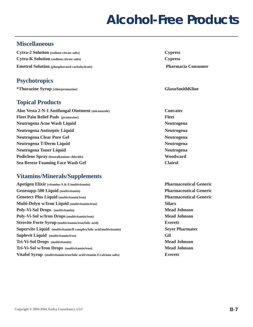#### **Miscellaneous**

**Cytra-2 Solution (sodium citrate salts) Cypress Cytra-K Solution (sodium citrate salts) Cypress Emetrol Solution (phosphorated carbohydrate) Pharmacia Consumer**

#### **Psychotropics**

**\*Thorazine Syrup (chlorpromazine) GlaxoSmithKline**

#### **Topical Products**

**Aloe Vesta 2-N-1 Antifungal Ointment (miconazole) Convatec Fleet Pain Relief Pads (pramoxine) Fleet Neutrogena Acne Wash Liquid Neutrogena** Neutrogena **Neutrogena Antiseptic Liquid Community Community Community Community Community Community Community Community Community Community Community Community Community Community Community Community Community Community Community Co Neutrogena Clear Pore Gel Neutrogena** Neutrogena **Neutrogena T/Derm Liquid Neutrogena** Neutrogena **Neutrogena Toner Liquid Community Community Community Community Community Community Community Community Community Community Community Community Community Community Community Community Community Community Community Communi Podiclens Spray (benzalkonium chloride) Woodward Sea Breeze Foaming Face Wash Gel Clairol**

#### **Vitamins/Minerals/Supplements**

| Apetigen Elixir (vitamins A & E/multivitamin)                        | <b>Pharma</b>  |
|----------------------------------------------------------------------|----------------|
| Genesupp-500 Liquid (multivitamin)                                   | <b>Pharma</b>  |
| <b>Genetect Plus Liquid (multivitamin/iron)</b>                      | <b>Pharma</b>  |
| Multi-Delyn w/Iron Liquid (multivitamin/iron)                        | <b>Silarx</b>  |
| Poly-Vi-Sol Drops (multivitamin)                                     | <b>Mead J</b>  |
| Poly-Vi-Sol w/Iron Drops (multivitamin/iron)                         | <b>Mead</b> J  |
| Strovite Forte Syrup (multivitamin/iron/folic acid)                  | <b>Everett</b> |
| Supervite Liquid (multivitamin/B complex/folic acid/multivitamin)    | <b>Sever P</b> |
| <b>Suplevit Liquid</b> (multivitamin/iron)                           | Gil            |
| Tri-Vi-Sol Drops (multivitamin)                                      | <b>Mead J</b>  |
| Tri-Vi-Sol w/Iron Drops (multivitamin/iron)                          | <b>Mead J</b>  |
| Vitafol Syrup (multivitamin/iron/folic acid/vitamin E/calcium salts) | <b>Everett</b> |
|                                                                      |                |

**Pharmaceutical Generic Pharmaceutical Generic Pharmaceutical Generic Mead Johnson Mead Johnson Seyer Pharmatec Mead Johnson Mead Johnson**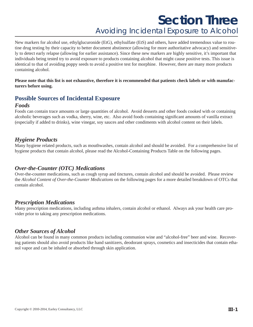### **Section Three** *Avoiding Incidental Exposure to Alcohol*

New markers for alcohol use, ethylglucuronide (EtG), ethylsulfate (EtS) and others, have added tremendous value to routine drug testing by their capacity to better document abstinence (allowing for more authoritative advocacy) and sensitively to detect early relapse (allowing for earlier assistance). Since these new markers are highly sensitive, it's important that individuals being tested try to avoid exposure to products containing alcohol that might cause positive tests. This issue is identical to that of avoiding poppy seeds to avoid a positive test for morphine. However, there are many more products containing alcohol.

**Please note that this list is not exhaustive, therefore it is recommended that patients check labels or with manufacturers before using.**

#### **Possible Sources of Incidental Exposure**

#### *Foods*

Foods can contain trace amounts or large quantities of alcohol. Avoid desserts and other foods cooked with or containing alcoholic beverages such as vodka, sherry, wine, etc. Also avoid foods containing significant amounts of vanilla extract (especially if added to drinks), wine vinegar, soy sauces and other condiments with alcohol content on their labels.

#### *Hygiene Products*

Many hygiene related products, such as mouthwashes, contain alcohol and should be avoided. For a comprehensive list of hygiene products that contain alcohol, please read the Alcohol-Containing Products Table on the following pages.

#### *Over-the-Counter (OTC) Medications*

Over-the-counter medications, such as cough syrup and tinctures, contain alcohol and should be avoided. Please review the *Alcohol Content of Over-the-Counter Medications* on the following pages for a more detailed breakdown of OTCs that contain alcohol.

#### *Prescription Medications*

Many prescription medications, including asthma inhalers, contain alcohol or ethanol. Always ask your health care provider prior to taking any prescription medications.

#### *Other Sources of Alcohol*

Alcohol can be found in many common products including communion wine and "alcohol-free" beer and wine. Recovering patients should also avoid products like hand sanitizers, deodorant sprays, cosmetics and insecticides that contain ethanol vapor and can be inhaled or absorbed through skin application.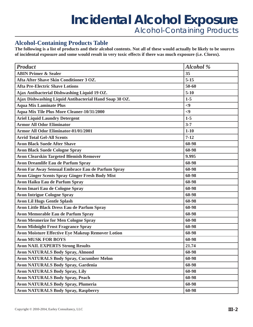### **Incidental Alcohol Exposure** *Alcohol-Containing Products*

#### **Alcohol-Containing Products Table**

**The following is a list of products and their alcohol contents. Not all of these would actually be likely to be sources of incidental exposure and some would result in very toxic effects if there was much exposure (i.e. Clorox).**

| <b>Product</b>                                           | <b>Alcohol</b> % |
|----------------------------------------------------------|------------------|
| <b>ABIN Primer &amp; Sealer</b>                          | 35               |
| Afta After Shave Skin Conditioner 3 OZ.                  | $5 - 15$         |
| <b>Afta Pre-Electric Shave Lotions</b>                   | 50-60            |
| Ajax Antibacterial Dishwashing Liquid 19 OZ.             | $5-10$           |
| Ajax Dishwashing Liquid Antibacterial Hand Soap 38 OZ.   | $1-5$            |
| <b>Aqua Mix Laminate Plus</b>                            | $\leq$ 9         |
| Aqua Mix Tile Plus More Cleaner-10/31/2000               | $\leq$ 9         |
| <b>Ariel Liquid Laundry Detergent</b>                    | $1-5$            |
| <b>Armor All Odor Eliminator</b>                         | $3 - 7$          |
| <b>Armor All Odor Eliminator-01/01/2001</b>              | $1 - 10$         |
| <b>Arrid Total Gel-All Scents</b>                        | $7 - 12$         |
| <b>Avon Black Suede After Shave</b>                      | 60-98            |
| <b>Avon Black Suede Cologne Spray</b>                    | 60-98            |
| <b>Avon Clearskin Targeted Blemish Remover</b>           | 9.995            |
| <b>Avon Dreamlife Eau de Parfum Spray</b>                | 60-98            |
| Avon Far Away Sensual Embrace Eau de Parfum Spray        | 60-98            |
| <b>Avon Ginger Scents Spray Ginger Fresh Body Mist</b>   | 60-98            |
| <b>Avon Haiku Eau de Parfum Spray</b>                    | 60-98            |
| <b>Avon Imari Eau de Cologne Spray</b>                   | 60-98            |
| <b>Avon Intrigue Cologne Spray</b>                       | 60-98            |
| <b>Avon Lil Hugs Gentle Splash</b>                       | 60-98            |
| <b>Avon Little Black Dress Eau de Parfum Spray</b>       | 60-98            |
| <b>Avon Memorable Eau de Parfum Spray</b>                | 60-98            |
| <b>Avon Mesmerize for Men Cologne Spray</b>              | 60-98            |
| <b>Avon Midnight Frost Fragrance Spray</b>               | 60-98            |
| <b>Avon Moisture Effective Eye Makeup Remover Lotion</b> | 60-98            |
| <b>Avon MUSK FOR BOYS</b>                                | 60-98            |
| <b>Avon NAIL EXPERTS Strong Results</b>                  | 21.74            |
| <b>Avon NATURALS Body Spray, Almond</b>                  | 60-98            |
| <b>Avon NATURALS Body Spray, Cucumber Melon</b>          | 60-98            |
| <b>Avon NATURALS Body Spray, Gardenia</b>                | 60-98            |
| <b>Avon NATURALS Body Spray, Lily</b>                    | 60-98            |
| <b>Avon NATURALS Body Spray, Peach</b>                   | 60-98            |
| <b>Avon NATURALS Body Spray, Plumeria</b>                | 60-98            |
| <b>Avon NATURALS Body Spray, Raspberry</b>               | 60-98            |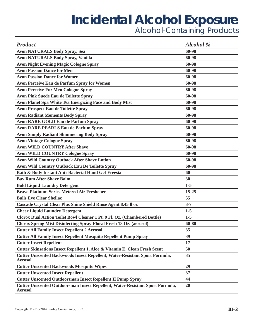| <b>Product</b>                                                                                  | Alcohol % |
|-------------------------------------------------------------------------------------------------|-----------|
| <b>Avon NATURALS Body Spray, Sea</b>                                                            | 60-98     |
| <b>Avon NATURALS Body Spray, Vanilla</b>                                                        | 60-98     |
| <b>Avon Night Evening Magic Cologne Spray</b>                                                   | 60-98     |
| <b>Avon Passion Dance for Men</b>                                                               | 60-98     |
| <b>Avon Passion Dance for Women</b>                                                             | 60-98     |
| <b>Avon Perceive Eau de Parfum Spray for Women</b>                                              | 60-98     |
| <b>Avon Perceive For Men Cologne Spray</b>                                                      | 60-98     |
| <b>Avon Pink Suede Eau de Toilette Spray</b>                                                    | 60-98     |
| Avon Planet Spa White Tea Energizing Face and Body Mist                                         | 60-98     |
| <b>Avon Prospect Eau de Toilette Spray</b>                                                      | 60-98     |
| <b>Avon Radiant Moments Body Spray</b>                                                          | 60-98     |
| <b>Avon RARE GOLD Eau de Parfum Spray</b>                                                       | 60-98     |
| <b>Avon RARE PEARLS Eau de Parfum Spray</b>                                                     | 60-98     |
| <b>Avon Simply Radiant Shimmering Body Spray</b>                                                | 60-98     |
| <b>Avon Vintage Cologne Spray</b>                                                               | 60-98     |
| <b>Avon WILD COUNTRY After Shave</b>                                                            | 60-98     |
| <b>Avon WILD COUNTRY Cologne Spray</b>                                                          | 60-98     |
| <b>Avon Wild Country Outback After Shave Lotion</b>                                             | 60-98     |
| <b>Avon Wild Country Outback Eau De Toilette Spray</b>                                          | 60-98     |
| Bath & Body Instant Anti-Bacterial Hand Gel-Freesia                                             | 60        |
| <b>Bay Rum After Shave Balm</b>                                                                 | 30        |
| <b>Bold Liquid Laundry Detergent</b>                                                            | $1-5$     |
| <b>Bravo Platinum Series Metered Air Freshener</b>                                              | 15-25     |
| <b>Bulls Eye Clear Shellac</b>                                                                  | 55        |
| Cascade Crystal Clear Plus Shine Shield Rinse Agent 8.45 fl oz                                  | $3 - 7$   |
| <b>Cheer Liquid Laundry Detergent</b>                                                           | $1-5$     |
| Clorox Dual Action Toilet Bowl Cleaner 1 Pt. 9 Fl. Oz. (Chambered Bottle)                       | $1 - 5$   |
| <b>Clorox Spring Mist Disinfecting Spray-Floral Fresh 18 Oz. (aerosol)</b>                      | 60-80     |
| <b>Cutter All Family Insect Repellent 2 Aerosol</b>                                             | 35        |
| <b>Cutter All Family Insect Repellent Mosquito Repellent Pump Spray</b>                         | 39        |
| <b>Cutter Insect Repellent</b>                                                                  | 17        |
| Cutter Skinsations Insect Repellent 1, Aloe & Vitamin E, Clean Fresh Scent                      | 50        |
| Cutter Unscented Backwoods Insect Repellent, Water-Resistant Sport Formula,<br><b>Aerosol</b>   | 35        |
| <b>Cutter Unscented Backwoods Mosquito Wipes</b>                                                | 29        |
| <b>Cutter Unscented Insect Repellent</b>                                                        | 37        |
| <b>Cutter Unscented Outdoorsman Insect Repellent II Pump Spray</b>                              | 44        |
| Cutter Unscented Outdoorsman Insect Repellent, Water-Resistant Sport Formula,<br><b>Aerosol</b> | 20        |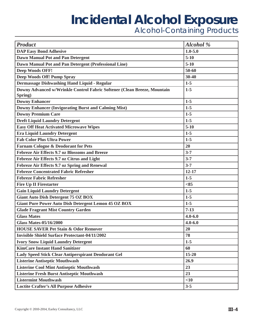| <b>Product</b>                                                           | <b>Alcohol</b> % |
|--------------------------------------------------------------------------|------------------|
| <b>DAP Easy Bond Adhesive</b>                                            | $1.0 - 5.0$      |
| <b>Dawn Manual Pot and Pan Detergent</b>                                 | $5-10$           |
| Dawn Manual Pot and Pan Detergent (Professional Line)                    | $5-10$           |
| <b>Deep Woods OFF!</b>                                                   | 50-60            |
| Deep Woods Off! Pump Spray                                               | 30-40            |
| Dermassage Dishwashing Hand Liquid - Regular                             | $1 - 5$          |
| Downy Advanced w/Wrinkle Control Fabric Softener (Clean Breeze, Mountain | $1-5$            |
| Spring)                                                                  |                  |
| <b>Downy Enhancer</b>                                                    | $1-5$            |
| <b>Downy Enhancer (Invigorating Burst and Calming Mist)</b>              | $1-5$            |
| <b>Downy Premium Care</b>                                                | $1-5$            |
| <b>Dreft Liquid Laundry Detergent</b>                                    | $1-5$            |
| <b>Easy Off Heat Activated Microwave Wipes</b>                           | $5 - 10$         |
| <b>Era Liquid Laundry Detergent</b>                                      | $1-5$            |
| <b>Fab Color Plus Ultra Power</b>                                        | $1-5$            |
| <b>Farnam Cologne &amp; Deodorant for Pets</b>                           | 20               |
| <b>Febreze Air Effects 9.7 oz Blossoms and Breeze</b>                    | $3 - 7$          |
| Febreze Air Effects 9.7 oz Citrus and Light                              | $3 - 7$          |
| Febreze Air Effects 9.7 oz Spring and Renewal                            | $3 - 7$          |
| <b>Febreze Concentrated Fabric Refresher</b>                             | $12 - 17$        |
| <b>Febreze Fabric Refresher</b>                                          | $1-5$            |
| <b>Fire Up II Firestarter</b>                                            | < 85             |
| <b>Gain Liquid Laundry Detergent</b>                                     | $1-5$            |
| <b>Giant Auto Dish Detergent 75 OZ BOX</b>                               | $1 - 5$          |
| <b>Giant Pure Power Auto Dish Detergent Lemon 45 OZ BOX</b>              | $1-5$            |
| <b>Glade Fragrant Mist Country Garden</b>                                | $7-13$           |
| <b>Glass Mates</b>                                                       | $4.0 - 6.0$      |
| <b>Glass Mates-05/16/2000</b>                                            | $4.0 - 6.0$      |
| <b>HOUSE SAVER Pet Stain &amp; Odor Remover</b>                          | 20               |
| <b>Invisible Shield Surface Protectant-04/11/2002</b>                    | 78               |
| <b>Ivory Snow Liquid Laundry Detergent</b>                               | $1 - 5$          |
| <b>KimCare Instant Hand Sanitizer</b>                                    | 60               |
| <b>Lady Speed Stick Clear Antiperspirant Deodorant Gel</b>               | $15 - 20$        |
| <b>Listerine Antiseptic Mouthwash</b>                                    | 26.9             |
| <b>Listerine Cool Mint Antiseptic Mouthwash</b>                          | 23               |
| <b>Listerine Fresh Burst Antiseptic Mouthwash</b>                        | 23               |
| <b>Listermint Mouthwash</b>                                              | $<$ 10           |
| <b>Loctite Crafter's All Purpose Adhesive</b>                            | $3 - 5$          |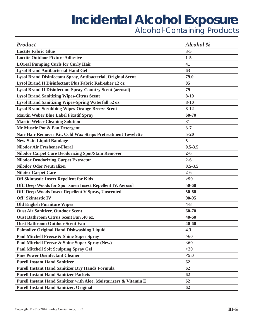| <b>Product</b>                                                    | Alcohol %   |
|-------------------------------------------------------------------|-------------|
| <b>Loctite Fabric Glue</b>                                        | $3 - 5$     |
| <b>Loctite Outdoor Fixture Adhesive</b>                           | $1-5$       |
| <b>LOreal Pumping Curls for Curly Hair</b>                        | 41          |
| <b>Lysol Brand Antibacterial Hand Gel</b>                         | 63          |
| Lysol Brand Disinfectant Spray, Antibacterial, Original Scent     | 79.0        |
| <b>Lysol Brand II Disinfectant Plus Fabric Refresher 12 oz</b>    | 85          |
| <b>Lysol Brand II Disinfectant Spray-Country Scent (aerosol)</b>  | 79          |
| <b>Lysol Brand Sanitizing Wipes-Citrus Scent</b>                  | $8 - 10$    |
| Lysol Brand Sanitizing Wipes-Spring Waterfall 52 oz               | $8 - 10$    |
| <b>Lysol Brand Scrubbing Wipes-Orange Breeze Scent</b>            | $8 - 12$    |
| <b>Martin Weber Blue Label Fixatif Spray</b>                      | 60-70       |
| <b>Martin Weber Cleaning Solution</b>                             | 31          |
| Mr Muscle Pot & Pan Detergent                                     | $3 - 7$     |
| Nair Hair Remover Kit, Cold Wax Strips Pretreatment Towelette     | $5 - 20$    |
| <b>New-Skin Liquid Bandage</b>                                    | 5           |
| <b>Nilodor Air Freshener-Floral</b>                               | $0.5 - 3.5$ |
| <b>Nilodor Carpet Care Deodorizing Spot/Stain Remover</b>         | $2 - 6$     |
| <b>Nilodor Deodorizing Carpet Extractor</b>                       | $2 - 6$     |
| <b>Nilodor Odor Neutralizer</b>                                   | $0.5 - 3.5$ |
| <b>Nilotex Carpet Care</b>                                        | $2 - 6$     |
| <b>Off Skintastic Insect Repellent for Kids</b>                   | $>90$       |
| Off! Deep Woods for Sportsmen Insect Repellent IV, Aerosol        | 50-60       |
| Off! Deep Woods Insect Repellent V Spray, Unscented               | 50-60       |
| <b>Off! Skintastic IV</b>                                         | 90-95       |
| <b>Old English Furniture Wipes</b>                                | $4 - 8$     |
| <b>Oust Air Sanitizer, Outdoor Scent</b>                          | 60-70       |
| <b>Oust Bathroom Citrus Scent Fan .40 oz.</b>                     | 40-60       |
| <b>Oust Bathroom Outdoor Scent Fan</b>                            | 40-60       |
| <b>Palmolive Original Hand Dishwashing Liquid</b>                 | 4.3         |
| Paul Mitchell Freeze & Shine Super Spray                          | $>60$       |
| Paul Mitchell Freeze & Shine Super Spray (New)                    | <60         |
| <b>Paul Mitchell Soft Sculpting Spray Gel</b>                     | $<$ 20      |
| <b>Pine Power Disinfectant Cleaner</b>                            | < 5.0       |
| <b>Purell Instant Hand Sanitizer</b>                              | 62          |
| <b>Purell Instant Hand Sanitizer Dry Hands Formula</b>            | 62          |
| <b>Purell Instant Hand Sanitizer Packets</b>                      | 62          |
| Purell Instant Hand Sanitizer with Aloe, Moisturizers & Vitamin E | 62          |
| <b>Purell Instant Hand Sanitizer, Original</b>                    | 62          |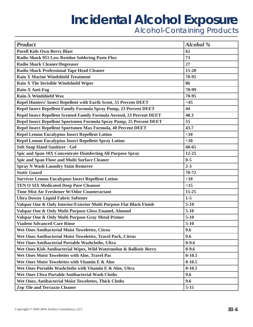| <b>Product</b>                                                         | <b>Alcohol</b> % |
|------------------------------------------------------------------------|------------------|
| <b>Purell Kids Own Berry Blast</b>                                     | 62               |
| <b>Radio Shack 951 Low Residue Soldering Paste Flux</b>                | 73               |
| <b>Radio Shack Cleaner/Degreaser</b>                                   | 27               |
| <b>Radio Shack Professional Tape Head Cleaner</b>                      | $15 - 20$        |
| <b>Rain X Marine Windshield Treatment</b>                              | 70-95            |
| Rain X The Invisible Windshield Wiper                                  | 86               |
| Rain-X Anti-Fog                                                        | 70-99            |
| <b>Rain-X Windshield Wax</b>                                           | 70-95            |
| Repel Hunters' Insect Repellent with Earth Scent, 55 Percent DEET      | $<$ 45           |
| Repel Insect Repellent Family Formula Spray Pump, 23 Percent DEET      | 44               |
| Repel Insect Repellent Scented Family Formula Aerosol, 23 Percent DEET | 48.3             |
| Repel Insect Repellent Sportsmen Formula Spray Pump, 25 Percent DEET   | 55               |
| Repel Insect Repellent Sportsmen Max Formula, 40 Percent DEET          | 43.7             |
| <b>Repel Lemon Eucalyptus Insect Repellent Lotion</b>                  | $<$ 10           |
| <b>Repel Lemon Eucalyptus Insect Repellent Spray Lotion</b>            | $<$ 10           |
| <b>Soft Soap Hand Sanitizer - Gel</b>                                  | 60-65            |
| Spic and Span 10X Concentrate Disinfecting All Purpose Spray           | $12 - 25$        |
| <b>Spic and Span Floor and Multi Surface Cleaner</b>                   | $0 - 5$          |
| <b>Spray N Wash Laundry Stain Remover</b>                              | $2 - 3$          |
| <b>Static Guard</b>                                                    | 70-72            |
| <b>Survivor Lemon Eucalyptus Insect Repellent Lotion</b>               | $<$ 10           |
| <b>TEN O SIX Medicated Deep Pore Cleanser</b>                          | <15              |
| <b>Time Mist Air Freshener W/Odor Counteractant</b>                    | 15-25            |
| <b>Ultra Downy Liquid Fabric Softener</b>                              | $1-5$            |
| Valspar One & Only Interior/Exterior Multi Purpose Flat Black Finish   | $5-10$           |
| Valspar One & Only Multi Purpose Gloss Enamel, Almond                  | $5-10$           |
| Valspar One & Only Multi Purpose Gray Metal Primer                     | $5-10$           |
| <b>Viadent Advanced Care Rinse</b>                                     | $5-10$           |
| Wet Ones Antibacterial Moist Towelettes, Citrus                        | 9.6              |
| Wet Ones Antibacterial Moist Towelettes, Travel Pack, Citrus           | 9.6              |
| Wet Ones Antibacterial Portable Washcloths, Ultra                      | $0-9.6$          |
| Wet Ones Kids Antibacterial Wipes, Wild Watermelon & Ballistic Berry   | $0 - 9.6$        |
| Wet Ones Moist Towelettes with Aloe, Travel Pac                        | $0 - 10.5$       |
| Wet Ones Moist Towelettes with Vitamin E & Aloe                        | $0 - 10.5$       |
| Wet Ones Portable Washcloths with Vitamin E & Aloe, Ultra              | $0 - 10.5$       |
| Wet Ones Ultra Portable Antibacterial Wash Cloths                      | 9.6              |
| Wet Ones, Antibacterial Moist Towelettes, Thick Cloths                 | 9.6              |
| <b>Zep Tile and Terrazzo Cleaner</b>                                   | $5 - 15$         |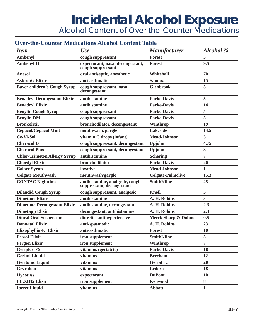*Alcohol Content of Over-the-Counter Medications*

#### **Over-the-Counter Medications Alcohol Content Table**

| <b>Item</b>                         | Use                                                          | <b>Manufacturer</b>            | Alcohol %               |
|-------------------------------------|--------------------------------------------------------------|--------------------------------|-------------------------|
| <b>Ambenyl</b>                      | cough suppressant                                            | <b>Forest</b>                  | 5                       |
| <b>Ambenyl-D</b>                    | expectorant, nasal decongestant,<br>cough suppressant        | <b>Forest</b>                  | 9.5                     |
| <b>Anesol</b>                       | oral antiseptic, anesthetic                                  | Whitehall                      | 70                      |
| <b>AsbronG Elixir</b>               | anti-asthmatic                                               | <b>Sandoz</b>                  | 15                      |
| <b>Bayer children's Cough Syrup</b> | cough suppressant, nasal<br>decongestant                     | <b>Glenbrook</b>               | 5                       |
| <b>Benadryl Decongestant Elixir</b> | antihistamine                                                | <b>Parke-Davis</b>             | 5                       |
| <b>Benadryl Elixir</b>              | antihistamine                                                | <b>Parke-Davis</b>             | 14                      |
| <b>Benylin Cough Syrup</b>          | cough suppressant                                            | <b>Parke-Davis</b>             | 5                       |
| <b>Benylin DM</b>                   | cough suppressant                                            | <b>Parke-Davis</b>             | 5                       |
| <b>Bronkolixir</b>                  | bronchodilator, decongestant                                 | Winthrop                       | 19                      |
| <b>Cepacol/Cepacol Mint</b>         | mouthwash, gargle                                            | <b>Lakeside</b>                | 14.5                    |
| <b>Ce-Vi-Sol</b>                    | vitamin C drops (infant)                                     | <b>Mead-Johnson</b>            | 5                       |
| <b>Cheracol D</b>                   | cough suppressant, decongestant                              | Upjohn                         | 4.75                    |
| <b>Cheracol Plus</b>                | cough suppressant, decongestant                              | Upjohn                         | 8                       |
| <b>Chlor-Trimeton Allergy Syrup</b> | antihistamine                                                | <b>Schering</b>                | $\overline{7}$          |
| <b>Choedyl Elixir</b>               | bronchodilator                                               | <b>Parke-Davis</b>             | 20                      |
| <b>Colace Syrup</b>                 | laxative                                                     | <b>Mead-Johnson</b>            | $\mathbf{1}$            |
| <b>Colgate Mouthwash</b>            | mouthwash/gargle                                             | <b>Colgate-Palmolive</b>       | 15.3                    |
| <b>CONTAC Nighttime</b>             | antihistamine, analgesic, cough<br>suppressant, decongestant | <b>SmithKline</b>              | 25                      |
| <b>Dilaudid Cough Syrup</b>         | cough suppressant, analgesic                                 | <b>Knoll</b>                   | 5                       |
| <b>Dimetane Elixir</b>              | antihistamine                                                | A. H. Robins                   | $\overline{\mathbf{3}}$ |
| <b>Dimetane Decongestant Elixir</b> | antihistamine, decongestant                                  | A. H. Robins                   | 2.3                     |
| <b>Dimetapp Elixir</b>              | decongestant, antihistamine                                  | A. H. Robins                   | 2.3                     |
| <b>Diural Oral Suspension</b>       | diuretic, antihypertensive                                   | <b>Merck Sharp &amp; Dohme</b> | 0.5                     |
| <b>Donnatal Elixir</b>              | anti-spasmodic                                               | A. H. Robins                   | 23                      |
| Elixophyllin-Kl Elixir              | anti-asthmatic                                               | <b>Forest</b>                  | 10                      |
| <b>Feosol Elixir</b>                | iron supplement                                              | <b>SmithKline</b>              | 5                       |
| <b>Fergon Elixir</b>                | iron supplement                                              | Winthrop                       | $\overline{7}$          |
| <b>Geriplex-FS</b>                  | vitamins (geriatric)                                         | <b>Parke-Davis</b>             | 18                      |
| <b>Geritol Liquid</b>               | vitamins                                                     | <b>Beecham</b>                 | 12                      |
| <b>Geritonic Liquid</b>             | vitamins                                                     | Geriatric                      | 20                      |
| <b>Gevrabon</b>                     | vitamins                                                     | Lederle                        | 18                      |
| <b>Hycotuss</b>                     | expectorant                                                  | <b>DuPont</b>                  | <b>10</b>               |
| <b>I.L.XB12 Elixir</b>              | iron supplement                                              | <b>Kenwood</b>                 | 8                       |
| <b>Iberet Liquid</b>                | vitamins                                                     | <b>Abbott</b>                  | $\mathbf{1}$            |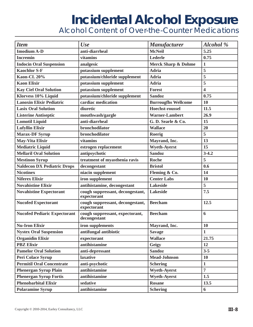*Alcohol Content of Over-the-Counter Medications*

| <b>Item</b>                         | <b>Use</b>                                      | <b>Manufacturer</b>            | <b>Alcohol</b> %        |
|-------------------------------------|-------------------------------------------------|--------------------------------|-------------------------|
| <b>Imodium A-D</b>                  | anti-diarrheal                                  | <b>McNeil</b>                  | 5.25                    |
| <b>Incremin</b>                     | vitamins                                        | Lederle                        | 0.75                    |
| <b>Indocin Oral Suspension</b>      | analgesic                                       | <b>Merck Sharp &amp; Dohme</b> | $\mathbf{1}$            |
| <b>Kaochlor S-F</b>                 | potassium supplement                            | <b>Adria</b>                   | 5                       |
| Kaon-CL 20%                         | potassium/chloride supplement                   | <b>Adria</b>                   | 5                       |
| <b>Kaon Elixir</b>                  | potassium supplement                            | <b>Adria</b>                   | 5                       |
| <b>Kay Ciel Oral Solution</b>       | potassium supplement                            | <b>Forest</b>                  | $\overline{\mathbf{4}}$ |
| Klorvess 10% Liquid                 | potassium/chloride supplement                   | <b>Sandoz</b>                  | 0.75                    |
| <b>Lanoxin Elixir Pediatric</b>     | cardiac medication                              | <b>Burrougfhs Wellcome</b>     | 10                      |
| <b>Lasix Oral Solution</b>          | diuretic                                        | <b>Hoechst-roussel</b>         | 11.5                    |
| <b>Listerine Antiseptic</b>         | mouthwash/gargle                                | <b>Warner-Lambert</b>          | 26.9                    |
| <b>Lomotil Liquid</b>               | anti-diarrheal                                  | G.D. Searle & Co.              | 15                      |
| <b>Lufyllin Elixir</b>              | bronchodilator                                  | <b>Wallace</b>                 | 20                      |
| <b>Marax-DF Syrup</b>               | bronchodilator                                  | Roerig                         | 5                       |
| <b>May-Vita Elixir</b>              | vitamins                                        | Mayrand, Inc.                  | 13                      |
| <b>Mediatric Liquid</b>             | estrogen replacement                            | <b>Wyeth-Ayerst</b>            | 15                      |
| <b>Mellaril Oral Solution</b>       | antipsychotic                                   | <b>Sandoz</b>                  | $3 - 4.2$               |
| <b>Mestinon Syrup</b>               | treatment of myasthenia ravis                   | <b>Roche</b>                   | 5                       |
| <b>Naldecon DX Pediatric Drops</b>  | decongestant                                    | <b>Bristol</b>                 | 0.6                     |
| <b>Nicotinex</b>                    | niacin supplement                               | Fleming & Co.                  | 14                      |
| <b>Niferex Elixir</b>               | iron supplement                                 | <b>Center Labs</b>             | 10                      |
| <b>Novahistine Elixir</b>           | antihistamine, decongestant                     | <b>Lakeside</b>                | 5                       |
| <b>Novahistine Expectorant</b>      | cough suppressant, decongestant,<br>expectorant | <b>Lakeside</b>                | 7.5                     |
| <b>Nucofed Expectorant</b>          | cough suppressant, decongestant,<br>expectorant | <b>Beecham</b>                 | 12.5                    |
| <b>Nucofed Pediaric Expectorant</b> | cough suppressant, expectorant,<br>decongestant | <b>Beecham</b>                 | 6                       |
| <b>Nu-Iron Elixir</b>               | iron supplements                                | Mayrand, Inc.                  | 10                      |
| <b>Nystex Oral Suspension</b>       | antifungal antibiotic                           | <b>Savage</b>                  | 1                       |
| <b>Organidin Elixir</b>             | expectorant                                     | <b>Wallace</b>                 | 21.75                   |
| <b>PBZ Elixir</b>                   | antihistamine                                   | Geigy                          | 12                      |
| <b>Pamelor Oral Solution</b>        | anti-depressant                                 | <b>Sandoz</b>                  | $3 - 5$                 |
| Peri Colace Syrup                   | <b>laxative</b>                                 | <b>Mead-Johnson</b>            | <b>10</b>               |
| <b>Permitil Oral Concentrate</b>    | anti-psychotic                                  | <b>Schering</b>                | $\mathbf{1}$            |
| <b>Phenergan Syrup Plain</b>        | antihistamine                                   | <b>Wyeth-Ayerst</b>            | $\overline{7}$          |
| <b>Phenergan Syrup Fortis</b>       | antihistamine                                   | <b>Wyeth-Ayerst</b>            | 1.5                     |
| <b>Phenobarbital Elixir</b>         | sedative                                        | <b>Rosane</b>                  | 13.5                    |
| <b>Polaramine Syrup</b>             | antihistamine                                   | <b>Schering</b>                | 6                       |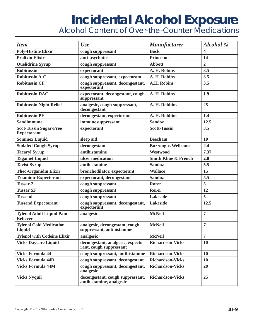*Alcohol Content of Over-the-Counter Medications*

| <b>Item</b>                                         | <b>Use</b>                                                   | <b>Manufacturer</b>             | Alcohol %      |
|-----------------------------------------------------|--------------------------------------------------------------|---------------------------------|----------------|
| <b>Poly-Histine Elixir</b>                          | cough suppressant                                            | <b>Bock</b>                     | 4              |
| <b>Prolixin Elixir</b>                              | anti-psychotic                                               | <b>Princeton</b>                | 14             |
| <b>Quelidrine Syrup</b>                             | cough suppressant                                            | <b>Abbott</b>                   | $\overline{2}$ |
| <b>Robitussin</b>                                   | expectorant                                                  | A. H. Robins                    | 3.5            |
| <b>Robitussin A-C</b>                               | cough suppressant, expectorant                               | A. H. Robins                    | 3.5            |
| <b>Robitussin CF</b>                                | cough suppressant, decongestant,<br>expectorant              | <b>A.H. Robins</b>              | 3.5            |
| <b>Robitussin DAC</b>                               | expectorant, decongestant, cough<br>suppressant              | A. H. Robins                    | 1.9            |
| <b>Robitussin Night Relief</b>                      | analgesic, cough suppressant,<br>decongestant                | A. H. Robbins                   | 25             |
| <b>Robitussin PE</b>                                | decongestant, expectorant                                    | A. H. Robbins                   | 1.4            |
| <b>Sandimmune</b>                                   | immunosuppressant                                            | <b>Sandoz</b>                   | 12.5           |
| <b>Scot-Tussin Sugar-Free</b><br><b>Expectorant</b> | expectorant                                                  | <b>Scott-Tussin</b>             | 3.5            |
| <b>Sominex Liquid</b>                               | sleep aid                                                    | <b>Beecham</b>                  | 10             |
| <b>Sudafed Cough Syrup</b>                          | decongestant                                                 | <b>Burroughs Wellcome</b>       | 2.4            |
| <b>Tacaryl Syrup</b>                                | antihistamine                                                | Westwood                        | 7.37           |
| <b>Tagamet Liquid</b>                               | ulcer medication                                             | <b>Smith Kline &amp; French</b> | 2.8            |
| <b>Tavist Syrup</b>                                 | antihistamine                                                | <b>Sandoz</b>                   | 5.5            |
| Theo-Organidin Elixir                               | bronchodilator, expectorant                                  | <b>Wallace</b>                  | 15             |
| <b>Triaminic Expectorant</b>                        | expectorant, decongestant                                    | <b>Sandoz</b>                   | 5.5            |
| Tussar-2                                            | cough suppressant                                            | <b>Rorer</b>                    | 5              |
| <b>Tussar SF</b>                                    | cough suppressant                                            | <b>Rorer</b>                    | 12             |
| <b>Tussend</b>                                      | cough suppressant                                            | <b>Lakeside</b>                 | 5              |
| <b>Tussend Expectorant</b>                          | cough suppressant, decongestant,<br>expectorant              | <b>Lakeside</b>                 | 12.5           |
| <b>Tylenol Adult Liquid Pain</b><br><b>Reliever</b> | analgesic                                                    | <b>McNeil</b>                   | $\overline{7}$ |
| <b>Tylenol Cold Medication</b><br>Liquid            | analgesic, decongestant, cough<br>suppressant, antihistamine | <b>McNeil</b>                   | $\overline{7}$ |
| <b>Tylenol with Codeine Elixir</b>                  | analgesic                                                    | <b>McNeil</b>                   | $\overline{7}$ |
| <b>Vicks Daycare Liquid</b>                         | decongestant, analgesic, expecto-<br>rant, cough suppressant | <b>Richardson-Vicks</b>         | 10             |
| <b>Vicks Formula 44</b>                             | cough suppressant, antihistamine                             | <b>Richardson-Vicks</b>         | 10             |
| <b>Vicks Formula 44D</b>                            | cough suppressant, decongestant                              | <b>Richardson-Vicks</b>         | 10             |
| <b>Vicks Formula 44M</b>                            | cough suppressant, decongestant,<br>analgesic                | <b>Richardson-Vicks</b>         | 20             |
| <b>Vicks Nyquil</b>                                 | decongestant, cough suppressant,<br>antihistamine, analgesic | <b>Richardson-Vicks</b>         | 25             |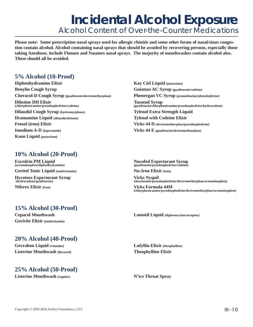### **Incidental Alcohol Exposure** *Alcohol Content of Over-the-Counter Medications*

**Please note: Some prescription nasal sprays used for allergic rhinitis and some other forms of nasal/sinus congestion contain alcohol. Alcohol-containing nasal sprays that should be avoided by recovering persons, especially those taking Antabuse, include Flonase and Nasonex nasal sprays. The majority of mouthwashes contain alcohol also. These should all be avoided.**

#### **5% Alcohol (10-Proof)**

**Diphenhydramine Elixir** Kay Ciel Liquid (potassium) **Benylin Cough Syrup Guiatuss AC Syrup (guaifenesin/codeine) Cheracol-D Cough Syrup (guaifenesin/dextromethorphan) Phenergan VC Syrup (promethazine/phenylephrine) Dihstine DH Elixir**<br>(chlorpheniramine/pseudoephedrine/codeine) **Dilaudid Cough Syrup (hydromorphone) Tylenol Extra Strength Liquid Dramamine Liquid (dimenhydrinate)** Tylenol with Codeine Elixir **Feosol (iron) Elixir Vicks 44 D** (dextromethorphan/pseudoephedrine) **Imodium A-D** (loperamide) **Vicks 44 E** (guaifenesin/dextromethorphan) **Kaon Liquid (potassium)**

**Tussend Syrup**<br>(guaifenesin/chlorpheniramine/pseudoephedrine/hydrocodone)

#### **10% Alcohol (20-Proof)**

**Geritol Tonic Liquid (multivitamin) Nu-Iron Elixir (iron)** 

**Hycotuss Expectorant Syrup Vicks Nyquil (hydrocodone/guaifenesin)** (doxylamine/pseud)

**Excedrin PM Liquid**<br>
(acetaminophen/diphenhydramine) (guaifenesin/pseudoephedrine/codeine)<br>
(guaifenesin/pseudoephedrine/codeine) **(acetaminophen/diphenhydramine) (guaifenesin/pseudoephedrine/codeine)**

(doxylamine/pseudoephedrine/dextromethorphan/acetaminophen)

**Niferex Elixir** (iron) **Vicks Formula 44M** (chlorpheniramine/pseudoephedrine/dextromethorphan/acetaminophen)

#### **15% Alcohol (30-Proof)**

**Gerivite Elixir (multivitamin)** 

#### **Cepacol Mouthwash Lomotil Liquid (diphenoxylate/atropine)**

#### **20% Alcohol (40-Proof)**

**Gevrabon Liquid (vitamins) Lufyllin Elixir (theophylline) Listerine Mouthwash (flavored)** Theophylline Elixir

#### **25% Alcohol (50-Proof)**

**Listerine Mouthwash (regular) N'ice Throat Spray**